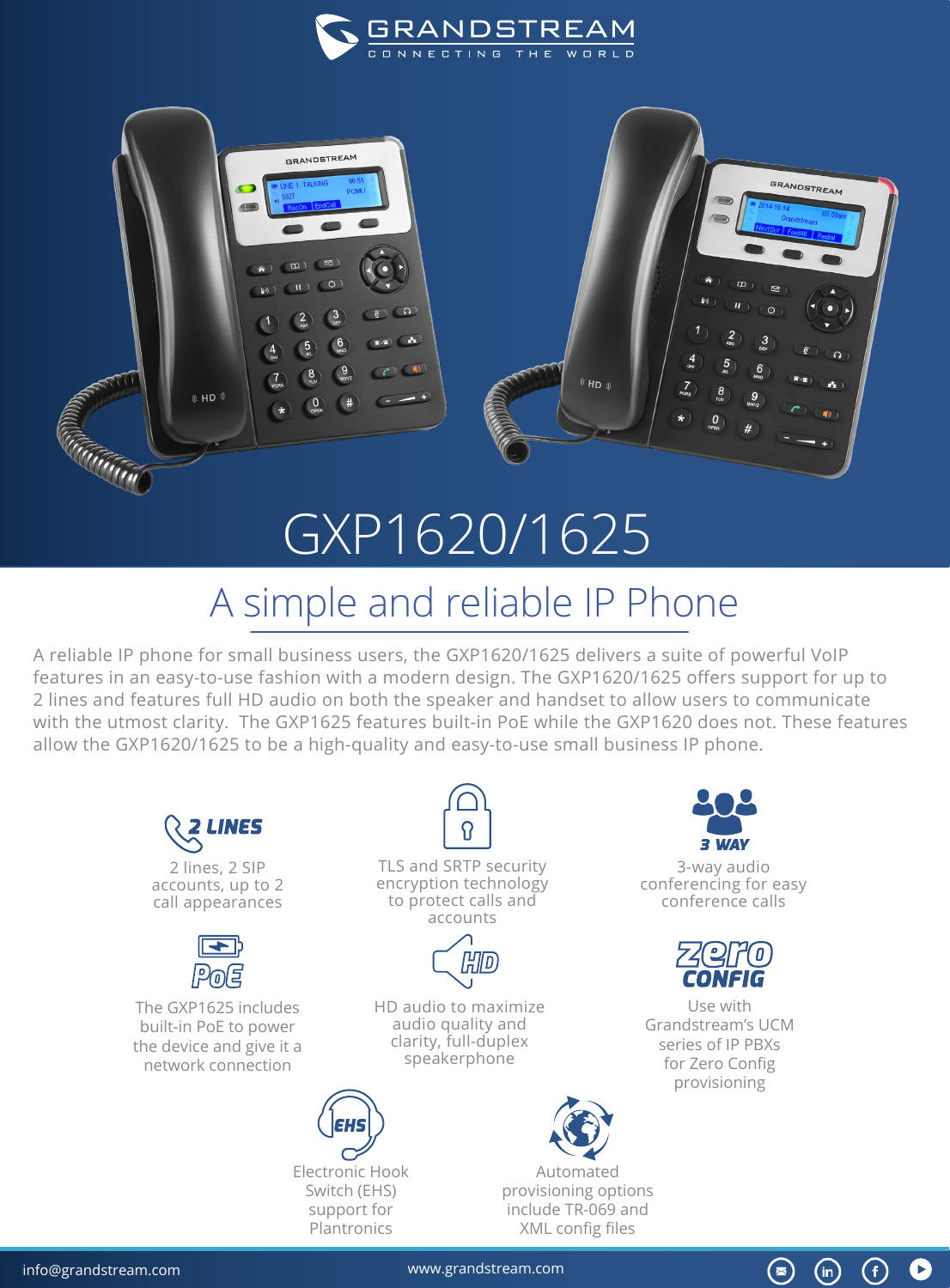



## GXP1620/1625

## A simple and reliable IP Phone

A reliable IP phone for small business users, the GXP1620/1625 delivers a suite of powerful VoIP features in an easy-to-use fashion with a modern design. The GXP1620/1625 offers support for up to 2 lines and features full HD audio on both the speaker and handset to allow users to communicate with the utmost clarity. The GXP1625 features built-in PoE while the GXP1620 does not. These features allow the GXP1620/1625 to be a high-quality and easy-to-use small business IP phone.



[info@grandstream.com](https://www.grandstream.com/) www.grandstream.com

 $\circledast$ 

 $(in)$ 

 $\left( f\right)$